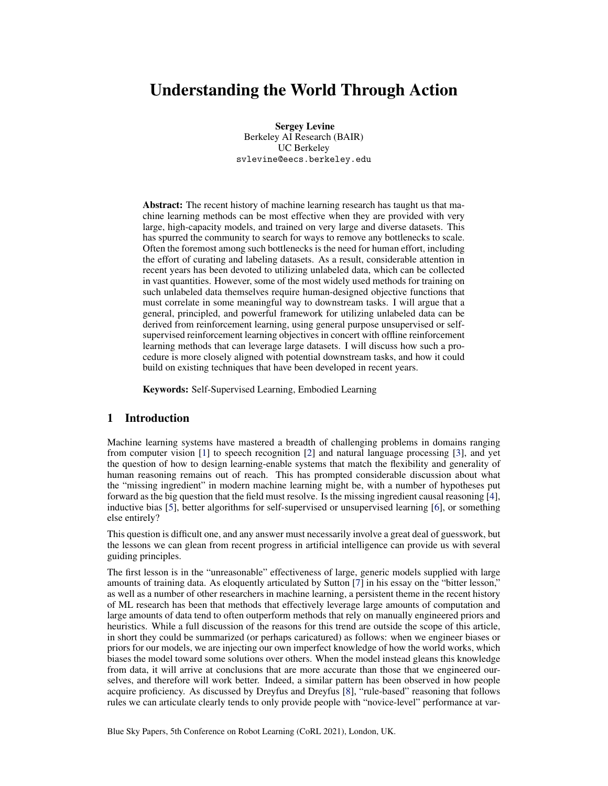# Understanding the World Through Action

Sergey Levine Berkeley AI Research (BAIR) UC Berkeley svlevine@eecs.berkeley.edu

Abstract: The recent history of machine learning research has taught us that machine learning methods can be most effective when they are provided with very large, high-capacity models, and trained on very large and diverse datasets. This has spurred the community to search for ways to remove any bottlenecks to scale. Often the foremost among such bottlenecks is the need for human effort, including the effort of curating and labeling datasets. As a result, considerable attention in recent years has been devoted to utilizing unlabeled data, which can be collected in vast quantities. However, some of the most widely used methods for training on such unlabeled data themselves require human-designed objective functions that must correlate in some meaningful way to downstream tasks. I will argue that a general, principled, and powerful framework for utilizing unlabeled data can be derived from reinforcement learning, using general purpose unsupervised or selfsupervised reinforcement learning objectives in concert with offline reinforcement learning methods that can leverage large datasets. I will discuss how such a procedure is more closely aligned with potential downstream tasks, and how it could build on existing techniques that have been developed in recent years.

Keywords: Self-Supervised Learning, Embodied Learning

## 1 Introduction

Machine learning systems have mastered a breadth of challenging problems in domains ranging from computer vision [\[1\]](#page-4-0) to speech recognition [\[2\]](#page-4-0) and natural language processing [\[3\]](#page-4-0), and yet the question of how to design learning-enable systems that match the flexibility and generality of human reasoning remains out of reach. This has prompted considerable discussion about what the "missing ingredient" in modern machine learning might be, with a number of hypotheses put forward as the big question that the field must resolve. Is the missing ingredient causal reasoning [\[4\]](#page-4-0), inductive bias [\[5\]](#page-4-0), better algorithms for self-supervised or unsupervised learning [\[6\]](#page-4-0), or something else entirely?

This question is difficult one, and any answer must necessarily involve a great deal of guesswork, but the lessons we can glean from recent progress in artificial intelligence can provide us with several guiding principles.

The first lesson is in the "unreasonable" effectiveness of large, generic models supplied with large amounts of training data. As eloquently articulated by Sutton [\[7\]](#page-4-0) in his essay on the "bitter lesson," as well as a number of other researchers in machine learning, a persistent theme in the recent history of ML research has been that methods that effectively leverage large amounts of computation and large amounts of data tend to often outperform methods that rely on manually engineered priors and heuristics. While a full discussion of the reasons for this trend are outside the scope of this article, in short they could be summarized (or perhaps caricatured) as follows: when we engineer biases or priors for our models, we are injecting our own imperfect knowledge of how the world works, which biases the model toward some solutions over others. When the model instead gleans this knowledge from data, it will arrive at conclusions that are more accurate than those that we engineered ourselves, and therefore will work better. Indeed, a similar pattern has been observed in how people acquire proficiency. As discussed by Dreyfus and Dreyfus [\[8\]](#page-4-0), "rule-based" reasoning that follows rules we can articulate clearly tends to only provide people with "novice-level" performance at var-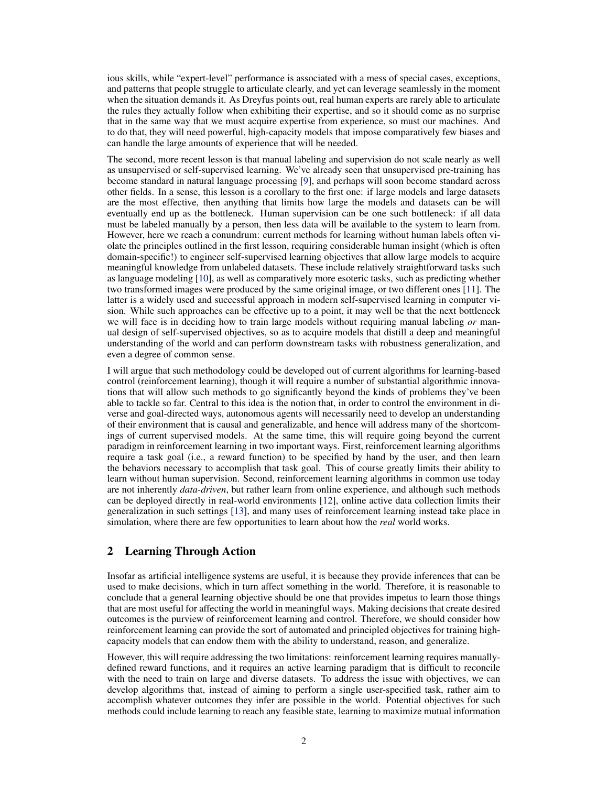<span id="page-1-0"></span>ious skills, while "expert-level" performance is associated with a mess of special cases, exceptions, and patterns that people struggle to articulate clearly, and yet can leverage seamlessly in the moment when the situation demands it. As Dreyfus points out, real human experts are rarely able to articulate the rules they actually follow when exhibiting their expertise, and so it should come as no surprise that in the same way that we must acquire expertise from experience, so must our machines. And to do that, they will need powerful, high-capacity models that impose comparatively few biases and can handle the large amounts of experience that will be needed.

The second, more recent lesson is that manual labeling and supervision do not scale nearly as well as unsupervised or self-supervised learning. We've already seen that unsupervised pre-training has become standard in natural language processing [\[9\]](#page-4-0), and perhaps will soon become standard across other fields. In a sense, this lesson is a corollary to the first one: if large models and large datasets are the most effective, then anything that limits how large the models and datasets can be will eventually end up as the bottleneck. Human supervision can be one such bottleneck: if all data must be labeled manually by a person, then less data will be available to the system to learn from. However, here we reach a conundrum: current methods for learning without human labels often violate the principles outlined in the first lesson, requiring considerable human insight (which is often domain-specific!) to engineer self-supervised learning objectives that allow large models to acquire meaningful knowledge from unlabeled datasets. These include relatively straightforward tasks such as language modeling [\[10\]](#page-4-0), as well as comparatively more esoteric tasks, such as predicting whether two transformed images were produced by the same original image, or two different ones [\[11\]](#page-4-0). The latter is a widely used and successful approach in modern self-supervised learning in computer vision. While such approaches can be effective up to a point, it may well be that the next bottleneck we will face is in deciding how to train large models without requiring manual labeling *or* manual design of self-supervised objectives, so as to acquire models that distill a deep and meaningful understanding of the world and can perform downstream tasks with robustness generalization, and even a degree of common sense.

I will argue that such methodology could be developed out of current algorithms for learning-based control (reinforcement learning), though it will require a number of substantial algorithmic innovations that will allow such methods to go significantly beyond the kinds of problems they've been able to tackle so far. Central to this idea is the notion that, in order to control the environment in diverse and goal-directed ways, autonomous agents will necessarily need to develop an understanding of their environment that is causal and generalizable, and hence will address many of the shortcomings of current supervised models. At the same time, this will require going beyond the current paradigm in reinforcement learning in two important ways. First, reinforcement learning algorithms require a task goal (i.e., a reward function) to be specified by hand by the user, and then learn the behaviors necessary to accomplish that task goal. This of course greatly limits their ability to learn without human supervision. Second, reinforcement learning algorithms in common use today are not inherently *data-driven*, but rather learn from online experience, and although such methods can be deployed directly in real-world environments [\[12\]](#page-4-0), online active data collection limits their generalization in such settings [\[13\]](#page-4-0), and many uses of reinforcement learning instead take place in simulation, where there are few opportunities to learn about how the *real* world works.

# 2 Learning Through Action

Insofar as artificial intelligence systems are useful, it is because they provide inferences that can be used to make decisions, which in turn affect something in the world. Therefore, it is reasonable to conclude that a general learning objective should be one that provides impetus to learn those things that are most useful for affecting the world in meaningful ways. Making decisions that create desired outcomes is the purview of reinforcement learning and control. Therefore, we should consider how reinforcement learning can provide the sort of automated and principled objectives for training highcapacity models that can endow them with the ability to understand, reason, and generalize.

However, this will require addressing the two limitations: reinforcement learning requires manuallydefined reward functions, and it requires an active learning paradigm that is difficult to reconcile with the need to train on large and diverse datasets. To address the issue with objectives, we can develop algorithms that, instead of aiming to perform a single user-specified task, rather aim to accomplish whatever outcomes they infer are possible in the world. Potential objectives for such methods could include learning to reach any feasible state, learning to maximize mutual information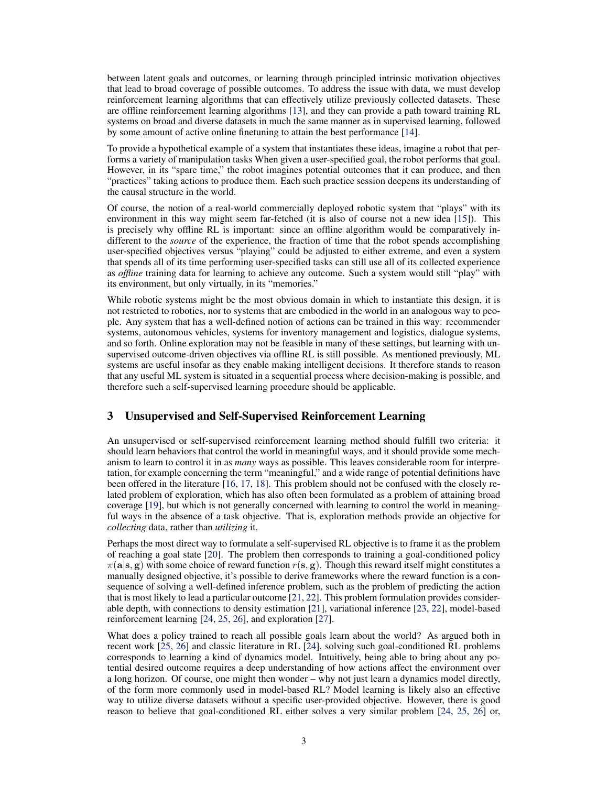between latent goals and outcomes, or learning through principled intrinsic motivation objectives that lead to broad coverage of possible outcomes. To address the issue with data, we must develop reinforcement learning algorithms that can effectively utilize previously collected datasets. These are offline reinforcement learning algorithms [\[13\]](#page-4-0), and they can provide a path toward training RL systems on broad and diverse datasets in much the same manner as in supervised learning, followed by some amount of active online finetuning to attain the best performance [\[14\]](#page-4-0).

To provide a hypothetical example of a system that instantiates these ideas, imagine a robot that performs a variety of manipulation tasks When given a user-specified goal, the robot performs that goal. However, in its "spare time," the robot imagines potential outcomes that it can produce, and then "practices" taking actions to produce them. Each such practice session deepens its understanding of the causal structure in the world.

Of course, the notion of a real-world commercially deployed robotic system that "plays" with its environment in this way might seem far-fetched (it is also of course not a new idea [\[15\]](#page-4-0)). This is precisely why offline RL is important: since an offline algorithm would be comparatively indifferent to the *source* of the experience, the fraction of time that the robot spends accomplishing user-specified objectives versus "playing" could be adjusted to either extreme, and even a system that spends all of its time performing user-specified tasks can still use all of its collected experience as *offline* training data for learning to achieve any outcome. Such a system would still "play" with its environment, but only virtually, in its "memories."

While robotic systems might be the most obvious domain in which to instantiate this design, it is not restricted to robotics, nor to systems that are embodied in the world in an analogous way to people. Any system that has a well-defined notion of actions can be trained in this way: recommender systems, autonomous vehicles, systems for inventory management and logistics, dialogue systems, and so forth. Online exploration may not be feasible in many of these settings, but learning with unsupervised outcome-driven objectives via offline RL is still possible. As mentioned previously, ML systems are useful insofar as they enable making intelligent decisions. It therefore stands to reason that any useful ML system is situated in a sequential process where decision-making is possible, and therefore such a self-supervised learning procedure should be applicable.

#### 3 Unsupervised and Self-Supervised Reinforcement Learning

An unsupervised or self-supervised reinforcement learning method should fulfill two criteria: it should learn behaviors that control the world in meaningful ways, and it should provide some mechanism to learn to control it in as *many* ways as possible. This leaves considerable room for interpretation, for example concerning the term "meaningful," and a wide range of potential definitions have been offered in the literature [\[16,](#page-4-0) [17,](#page-4-0) [18\]](#page-4-0). This problem should not be confused with the closely related problem of exploration, which has also often been formulated as a problem of attaining broad coverage [\[19\]](#page-4-0), but which is not generally concerned with learning to control the world in meaningful ways in the absence of a task objective. That is, exploration methods provide an objective for *collecting* data, rather than *utilizing* it.

Perhaps the most direct way to formulate a self-supervised RL objective is to frame it as the problem of reaching a goal state [\[20\]](#page-5-0). The problem then corresponds to training a goal-conditioned policy  $\pi(a|s, g)$  with some choice of reward function  $r(s, g)$ . Though this reward itself might constitutes a manually designed objective, it's possible to derive frameworks where the reward function is a consequence of solving a well-defined inference problem, such as the problem of predicting the action that is most likely to lead a particular outcome [\[21,](#page-5-0) [22\]](#page-5-0). This problem formulation provides considerable depth, with connections to density estimation [\[21\]](#page-5-0), variational inference [\[23,](#page-5-0) [22\]](#page-5-0), model-based reinforcement learning [\[24,](#page-5-0) [25,](#page-5-0) [26\]](#page-5-0), and exploration [\[27\]](#page-5-0).

What does a policy trained to reach all possible goals learn about the world? As argued both in recent work [\[25,](#page-5-0) [26\]](#page-5-0) and classic literature in RL [\[24\]](#page-5-0), solving such goal-conditioned RL problems corresponds to learning a kind of dynamics model. Intuitively, being able to bring about any potential desired outcome requires a deep understanding of how actions affect the environment over a long horizon. Of course, one might then wonder – why not just learn a dynamics model directly, of the form more commonly used in model-based RL? Model learning is likely also an effective way to utilize diverse datasets without a specific user-provided objective. However, there is good reason to believe that goal-conditioned RL either solves a very similar problem [\[24,](#page-5-0) [25,](#page-5-0) [26\]](#page-5-0) or,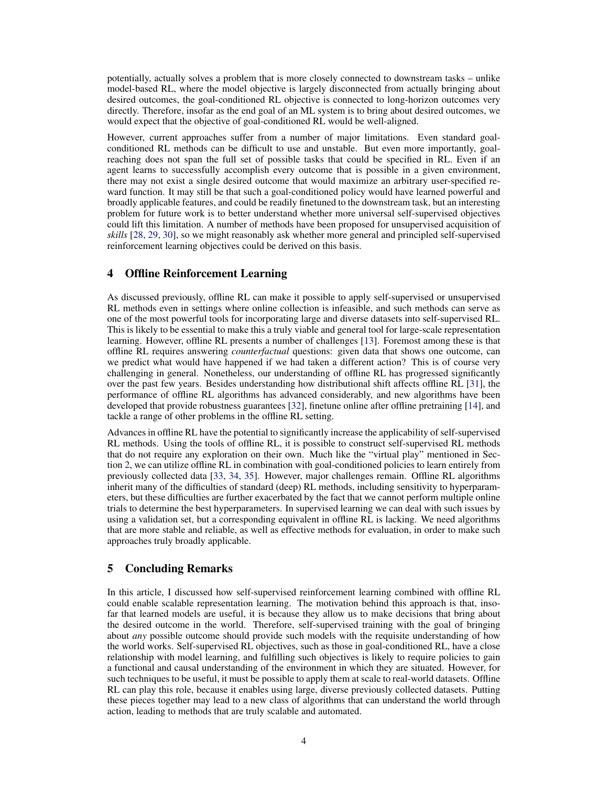potentially, actually solves a problem that is more closely connected to downstream tasks – unlike model-based RL, where the model objective is largely disconnected from actually bringing about desired outcomes, the goal-conditioned RL objective is connected to long-horizon outcomes very directly. Therefore, insofar as the end goal of an ML system is to bring about desired outcomes, we would expect that the objective of goal-conditioned RL would be well-aligned.

However, current approaches suffer from a number of major limitations. Even standard goalconditioned RL methods can be difficult to use and unstable. But even more importantly, goalreaching does not span the full set of possible tasks that could be specified in RL. Even if an agent learns to successfully accomplish every outcome that is possible in a given environment, there may not exist a single desired outcome that would maximize an arbitrary user-specified reward function. It may still be that such a goal-conditioned policy would have learned powerful and broadly applicable features, and could be readily finetuned to the downstream task, but an interesting problem for future work is to better understand whether more universal self-supervised objectives could lift this limitation. A number of methods have been proposed for unsupervised acquisition of *skills* [\[28,](#page-5-0) [29,](#page-5-0) [30\]](#page-5-0), so we might reasonably ask whether more general and principled self-supervised reinforcement learning objectives could be derived on this basis.

# 4 Offline Reinforcement Learning

As discussed previously, offline RL can make it possible to apply self-supervised or unsupervised RL methods even in settings where online collection is infeasible, and such methods can serve as one of the most powerful tools for incorporating large and diverse datasets into self-supervised RL. This is likely to be essential to make this a truly viable and general tool for large-scale representation learning. However, offline RL presents a number of challenges [\[13\]](#page-4-0). Foremost among these is that offline RL requires answering *counterfactual* questions: given data that shows one outcome, can we predict what would have happened if we had taken a different action? This is of course very challenging in general. Nonetheless, our understanding of offline RL has progressed significantly over the past few years. Besides understanding how distributional shift affects offline RL [\[31\]](#page-5-0), the performance of offline RL algorithms has advanced considerably, and new algorithms have been developed that provide robustness guarantees [\[32\]](#page-5-0), finetune online after offline pretraining [\[14\]](#page-4-0), and tackle a range of other problems in the offline RL setting.

Advances in offline RL have the potential to significantly increase the applicability of self-supervised RL methods. Using the tools of offline RL, it is possible to construct self-supervised RL methods that do not require any exploration on their own. Much like the "virtual play" mentioned in Section [2,](#page-1-0) we can utilize offline RL in combination with goal-conditioned policies to learn entirely from previously collected data [\[33,](#page-5-0) [34,](#page-5-0) [35\]](#page-5-0). However, major challenges remain. Offline RL algorithms inherit many of the difficulties of standard (deep) RL methods, including sensitivity to hyperparameters, but these difficulties are further exacerbated by the fact that we cannot perform multiple online trials to determine the best hyperparameters. In supervised learning we can deal with such issues by using a validation set, but a corresponding equivalent in offline RL is lacking. We need algorithms that are more stable and reliable, as well as effective methods for evaluation, in order to make such approaches truly broadly applicable.

#### 5 Concluding Remarks

In this article, I discussed how self-supervised reinforcement learning combined with offline RL could enable scalable representation learning. The motivation behind this approach is that, insofar that learned models are useful, it is because they allow us to make decisions that bring about the desired outcome in the world. Therefore, self-supervised training with the goal of bringing about *any* possible outcome should provide such models with the requisite understanding of how the world works. Self-supervised RL objectives, such as those in goal-conditioned RL, have a close relationship with model learning, and fulfilling such objectives is likely to require policies to gain a functional and causal understanding of the environment in which they are situated. However, for such techniques to be useful, it must be possible to apply them at scale to real-world datasets. Offline RL can play this role, because it enables using large, diverse previously collected datasets. Putting these pieces together may lead to a new class of algorithms that can understand the world through action, leading to methods that are truly scalable and automated.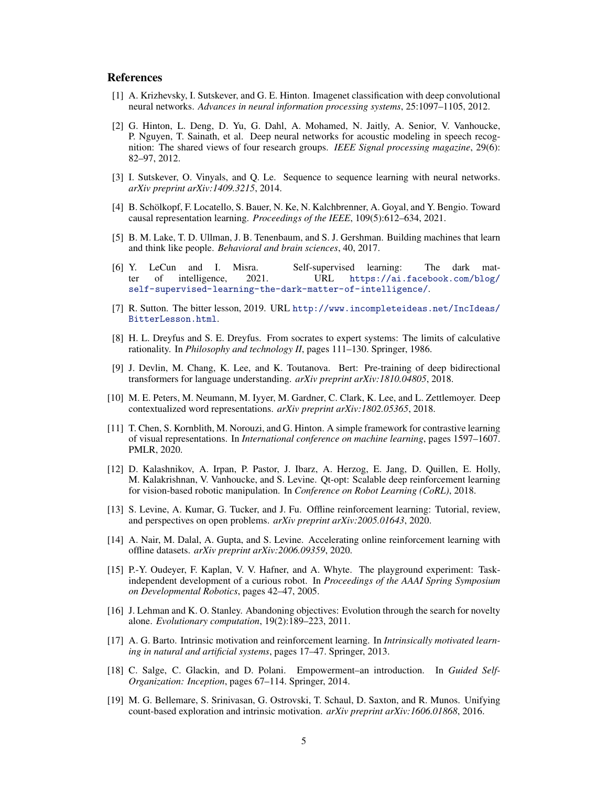## <span id="page-4-0"></span>**References**

- [1] A. Krizhevsky, I. Sutskever, and G. E. Hinton. Imagenet classification with deep convolutional neural networks. *Advances in neural information processing systems*, 25:1097–1105, 2012.
- [2] G. Hinton, L. Deng, D. Yu, G. Dahl, A. Mohamed, N. Jaitly, A. Senior, V. Vanhoucke, P. Nguyen, T. Sainath, et al. Deep neural networks for acoustic modeling in speech recognition: The shared views of four research groups. *IEEE Signal processing magazine*, 29(6): 82–97, 2012.
- [3] I. Sutskever, O. Vinyals, and Q. Le. Sequence to sequence learning with neural networks. *arXiv preprint arXiv:1409.3215*, 2014.
- [4] B. Schölkopf, F. Locatello, S. Bauer, N. Ke, N. Kalchbrenner, A. Goyal, and Y. Bengio. Toward causal representation learning. *Proceedings of the IEEE*, 109(5):612–634, 2021.
- [5] B. M. Lake, T. D. Ullman, J. B. Tenenbaum, and S. J. Gershman. Building machines that learn and think like people. *Behavioral and brain sciences*, 40, 2017.
- [6] Y. LeCun and I. Misra. Self-supervised learning: The dark matter of intelligence, 2021. URL [https://ai.facebook.com/blog/](https://ai.facebook.com/blog/self-supervised-learning-the-dark-matter-of-intelligence/) [self-supervised-learning-the-dark-matter-of-intelligence/](https://ai.facebook.com/blog/self-supervised-learning-the-dark-matter-of-intelligence/).
- [7] R. Sutton. The bitter lesson, 2019. URL [http://www.incompleteideas.net/IncIdeas/](http://www.incompleteideas.net/IncIdeas/BitterLesson.html) [BitterLesson.html](http://www.incompleteideas.net/IncIdeas/BitterLesson.html).
- [8] H. L. Dreyfus and S. E. Dreyfus. From socrates to expert systems: The limits of calculative rationality. In *Philosophy and technology II*, pages 111–130. Springer, 1986.
- [9] J. Devlin, M. Chang, K. Lee, and K. Toutanova. Bert: Pre-training of deep bidirectional transformers for language understanding. *arXiv preprint arXiv:1810.04805*, 2018.
- [10] M. E. Peters, M. Neumann, M. Iyyer, M. Gardner, C. Clark, K. Lee, and L. Zettlemoyer. Deep contextualized word representations. *arXiv preprint arXiv:1802.05365*, 2018.
- [11] T. Chen, S. Kornblith, M. Norouzi, and G. Hinton. A simple framework for contrastive learning of visual representations. In *International conference on machine learning*, pages 1597–1607. PMLR, 2020.
- [12] D. Kalashnikov, A. Irpan, P. Pastor, J. Ibarz, A. Herzog, E. Jang, D. Quillen, E. Holly, M. Kalakrishnan, V. Vanhoucke, and S. Levine. Qt-opt: Scalable deep reinforcement learning for vision-based robotic manipulation. In *Conference on Robot Learning (CoRL)*, 2018.
- [13] S. Levine, A. Kumar, G. Tucker, and J. Fu. Offline reinforcement learning: Tutorial, review, and perspectives on open problems. *arXiv preprint arXiv:2005.01643*, 2020.
- [14] A. Nair, M. Dalal, A. Gupta, and S. Levine. Accelerating online reinforcement learning with offline datasets. *arXiv preprint arXiv:2006.09359*, 2020.
- [15] P.-Y. Oudeyer, F. Kaplan, V. V. Hafner, and A. Whyte. The playground experiment: Taskindependent development of a curious robot. In *Proceedings of the AAAI Spring Symposium on Developmental Robotics*, pages 42–47, 2005.
- [16] J. Lehman and K. O. Stanley. Abandoning objectives: Evolution through the search for novelty alone. *Evolutionary computation*, 19(2):189–223, 2011.
- [17] A. G. Barto. Intrinsic motivation and reinforcement learning. In *Intrinsically motivated learning in natural and artificial systems*, pages 17–47. Springer, 2013.
- [18] C. Salge, C. Glackin, and D. Polani. Empowerment–an introduction. In *Guided Self-Organization: Inception*, pages 67–114. Springer, 2014.
- [19] M. G. Bellemare, S. Srinivasan, G. Ostrovski, T. Schaul, D. Saxton, and R. Munos. Unifying count-based exploration and intrinsic motivation. *arXiv preprint arXiv:1606.01868*, 2016.